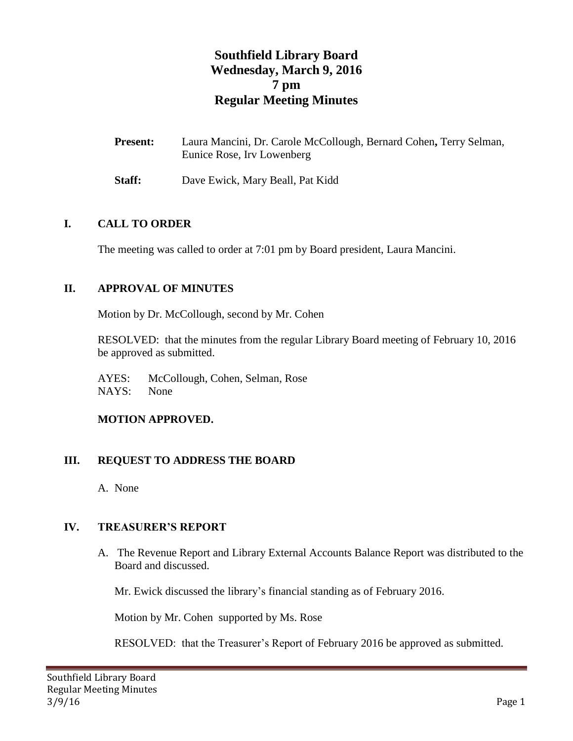# **Southfield Library Board Wednesday, March 9, 2016 7 pm Regular Meeting Minutes**

| <b>Present:</b> | Laura Mancini, Dr. Carole McCollough, Bernard Cohen, Terry Selman, |
|-----------------|--------------------------------------------------------------------|
|                 | Eunice Rose, Irv Lowenberg                                         |

**Staff:** Dave Ewick, Mary Beall, Pat Kidd

#### **I. CALL TO ORDER**

The meeting was called to order at 7:01 pm by Board president, Laura Mancini.

### **II. APPROVAL OF MINUTES**

Motion by Dr. McCollough, second by Mr. Cohen

RESOLVED: that the minutes from the regular Library Board meeting of February 10, 2016 be approved as submitted.

AYES: McCollough, Cohen, Selman, Rose NAYS: None

### **MOTION APPROVED.**

### **III. REQUEST TO ADDRESS THE BOARD**

A. None

### **IV. TREASURER'S REPORT**

A. The Revenue Report and Library External Accounts Balance Report was distributed to the Board and discussed.

Mr. Ewick discussed the library's financial standing as of February 2016.

Motion by Mr. Cohen supported by Ms. Rose

RESOLVED: that the Treasurer's Report of February 2016 be approved as submitted.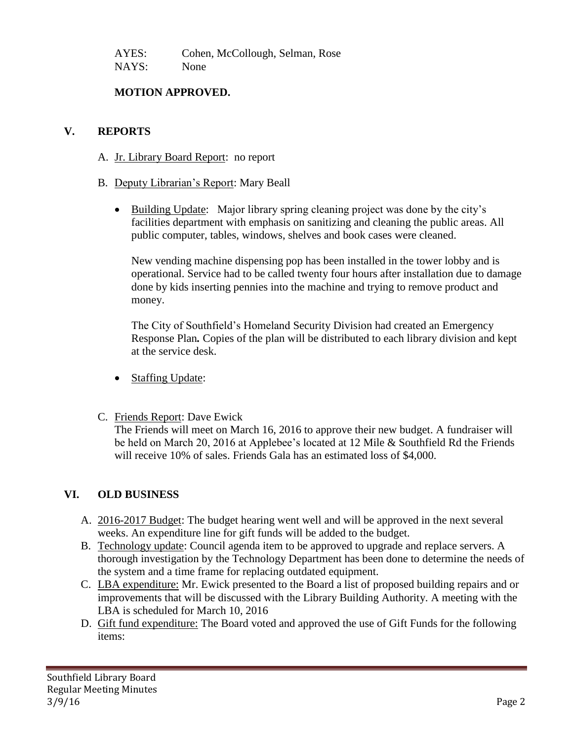AYES: Cohen, McCollough, Selman, Rose NAYS: None

## **MOTION APPROVED.**

### **V. REPORTS**

- A. Jr. Library Board Report: no report
- B. Deputy Librarian's Report: Mary Beall
	- Building Update: Major library spring cleaning project was done by the city's facilities department with emphasis on sanitizing and cleaning the public areas. All public computer, tables, windows, shelves and book cases were cleaned.

New vending machine dispensing pop has been installed in the tower lobby and is operational. Service had to be called twenty four hours after installation due to damage done by kids inserting pennies into the machine and trying to remove product and money.

The City of Southfield's Homeland Security Division had created an Emergency Response Plan*.* Copies of the plan will be distributed to each library division and kept at the service desk.

- Staffing Update:
- C. Friends Report: Dave Ewick

The Friends will meet on March 16, 2016 to approve their new budget. A fundraiser will be held on March 20, 2016 at Applebee's located at 12 Mile & Southfield Rd the Friends will receive 10% of sales. Friends Gala has an estimated loss of \$4,000.

## **VI. OLD BUSINESS**

- A. 2016-2017 Budget: The budget hearing went well and will be approved in the next several weeks. An expenditure line for gift funds will be added to the budget.
- B. Technology update: Council agenda item to be approved to upgrade and replace servers. A thorough investigation by the Technology Department has been done to determine the needs of the system and a time frame for replacing outdated equipment.
- C. LBA expenditure: Mr. Ewick presented to the Board a list of proposed building repairs and or improvements that will be discussed with the Library Building Authority. A meeting with the LBA is scheduled for March 10, 2016
- D. Gift fund expenditure: The Board voted and approved the use of Gift Funds for the following items: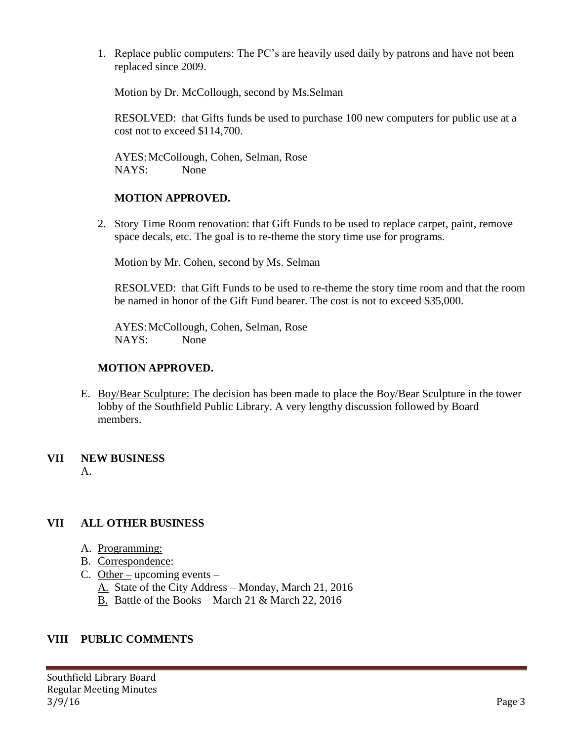1. Replace public computers: The PC's are heavily used daily by patrons and have not been replaced since 2009.

Motion by Dr. McCollough, second by Ms.Selman

RESOLVED: that Gifts funds be used to purchase 100 new computers for public use at a cost not to exceed \$114,700.

AYES:McCollough, Cohen, Selman, Rose NAYS: None

## **MOTION APPROVED.**

2. Story Time Room renovation: that Gift Funds to be used to replace carpet, paint, remove space decals, etc. The goal is to re-theme the story time use for programs.

Motion by Mr. Cohen, second by Ms. Selman

RESOLVED: that Gift Funds to be used to re-theme the story time room and that the room be named in honor of the Gift Fund bearer. The cost is not to exceed \$35,000.

AYES:McCollough, Cohen, Selman, Rose NAYS: None

### **MOTION APPROVED.**

E. Boy/Bear Sculpture: The decision has been made to place the Boy/Bear Sculpture in the tower lobby of the Southfield Public Library. A very lengthy discussion followed by Board members.

## **VII NEW BUSINESS**

A.

## **VII ALL OTHER BUSINESS**

- A. Programming:
- B. Correspondence:
- C. Other upcoming events
	- A. State of the City Address Monday, March 21, 2016
	- B. Battle of the Books March 21 & March 22, 2016

### **VIII PUBLIC COMMENTS**